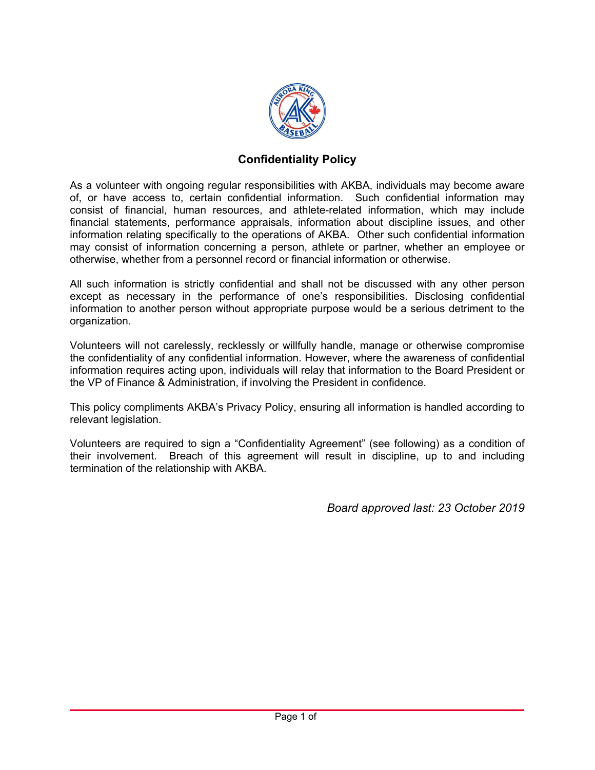

## **Confidentiality Policy**

As a volunteer with ongoing regular responsibilities with AKBA, individuals may become aware of, or have access to, certain confidential information. Such confidential information may consist of financial, human resources, and athlete-related information, which may include financial statements, performance appraisals, information about discipline issues, and other information relating specifically to the operations of AKBA. Other such confidential information may consist of information concerning a person, athlete or partner, whether an employee or otherwise, whether from a personnel record or financial information or otherwise.

All such information is strictly confidential and shall not be discussed with any other person except as necessary in the performance of one's responsibilities. Disclosing confidential information to another person without appropriate purpose would be a serious detriment to the organization.

Volunteers will not carelessly, recklessly or willfully handle, manage or otherwise compromise the confidentiality of any confidential information. However, where the awareness of confidential information requires acting upon, individuals will relay that information to the Board President or the VP of Finance & Administration, if involving the President in confidence.

This policy compliments AKBA's Privacy Policy, ensuring all information is handled according to relevant legislation.

Volunteers are required to sign a "Confidentiality Agreement" (see following) as a condition of their involvement. Breach of this agreement will result in discipline, up to and including termination of the relationship with AKBA.

Board approved last: 23 October 2019